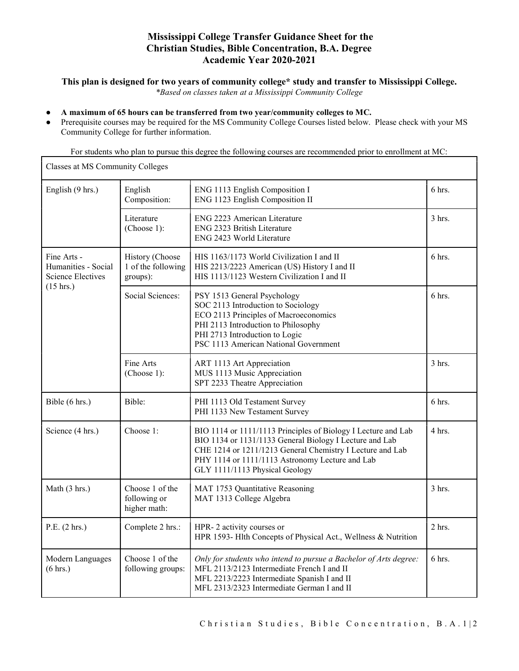# Mississippi College Transfer Guidance Sheet for the Christian Studies, Bible Concentration, B.A. Degree Academic Year 2020-2021

### This plan is designed for two years of community college\* study and transfer to Mississippi College.

\*Based on classes taken at a Mississippi Community College

#### A maximum of 65 hours can be transferred from two year/community colleges to MC.

 $\mathsf{r}$ 

Prerequisite courses may be required for the MS Community College Courses listed below. Please check with your MS Community College for further information.

For students who plan to pursue this degree the following courses are recommended prior to enrollment at MC:

| Classes at MS Community Colleges                                              |                                                   |                                                                                                                                                                                                                                                                            |          |  |
|-------------------------------------------------------------------------------|---------------------------------------------------|----------------------------------------------------------------------------------------------------------------------------------------------------------------------------------------------------------------------------------------------------------------------------|----------|--|
| English (9 hrs.)                                                              | English<br>Composition:                           | ENG 1113 English Composition I<br>ENG 1123 English Composition II                                                                                                                                                                                                          | 6 hrs.   |  |
|                                                                               | Literature<br>(Choose 1):                         | ENG 2223 American Literature<br>ENG 2323 British Literature<br>ENG 2423 World Literature                                                                                                                                                                                   | $3$ hrs. |  |
| Fine Arts -<br>Humanities - Social<br><b>Science Electives</b><br>$(15$ hrs.) | History (Choose<br>1 of the following<br>groups): | HIS 1163/1173 World Civilization I and II<br>HIS 2213/2223 American (US) History I and II<br>HIS 1113/1123 Western Civilization I and II                                                                                                                                   | 6 hrs.   |  |
|                                                                               | Social Sciences:                                  | PSY 1513 General Psychology<br>SOC 2113 Introduction to Sociology<br>ECO 2113 Principles of Macroeconomics<br>PHI 2113 Introduction to Philosophy<br>PHI 2713 Introduction to Logic<br>PSC 1113 American National Government                                               | $6$ hrs. |  |
|                                                                               | Fine Arts<br>(Choose 1):                          | ART 1113 Art Appreciation<br>MUS 1113 Music Appreciation<br>SPT 2233 Theatre Appreciation                                                                                                                                                                                  | $3$ hrs. |  |
| Bible (6 hrs.)                                                                | Bible:                                            | PHI 1113 Old Testament Survey<br>PHI 1133 New Testament Survey                                                                                                                                                                                                             | 6 hrs.   |  |
| Science (4 hrs.)                                                              | Choose 1:                                         | BIO 1114 or 1111/1113 Principles of Biology I Lecture and Lab<br>BIO 1134 or 1131/1133 General Biology I Lecture and Lab<br>CHE 1214 or 1211/1213 General Chemistry I Lecture and Lab<br>PHY 1114 or 1111/1113 Astronomy Lecture and Lab<br>GLY 1111/1113 Physical Geology | 4 hrs.   |  |
| Math (3 hrs.)                                                                 | Choose 1 of the<br>following or<br>higher math:   | MAT 1753 Quantitative Reasoning<br>MAT 1313 College Algebra                                                                                                                                                                                                                | 3 hrs.   |  |
| P.E. (2 hrs.)                                                                 | Complete 2 hrs.:                                  | HPR-2 activity courses or<br>HPR 1593- Hlth Concepts of Physical Act., Wellness & Nutrition                                                                                                                                                                                | $2$ hrs. |  |
| Modern Languages<br>(6 hrs.)                                                  | Choose 1 of the<br>following groups:              | Only for students who intend to pursue a Bachelor of Arts degree:<br>MFL 2113/2123 Intermediate French I and II<br>MFL 2213/2223 Intermediate Spanish I and II<br>MFL 2313/2323 Intermediate German I and II                                                               | 6 hrs.   |  |